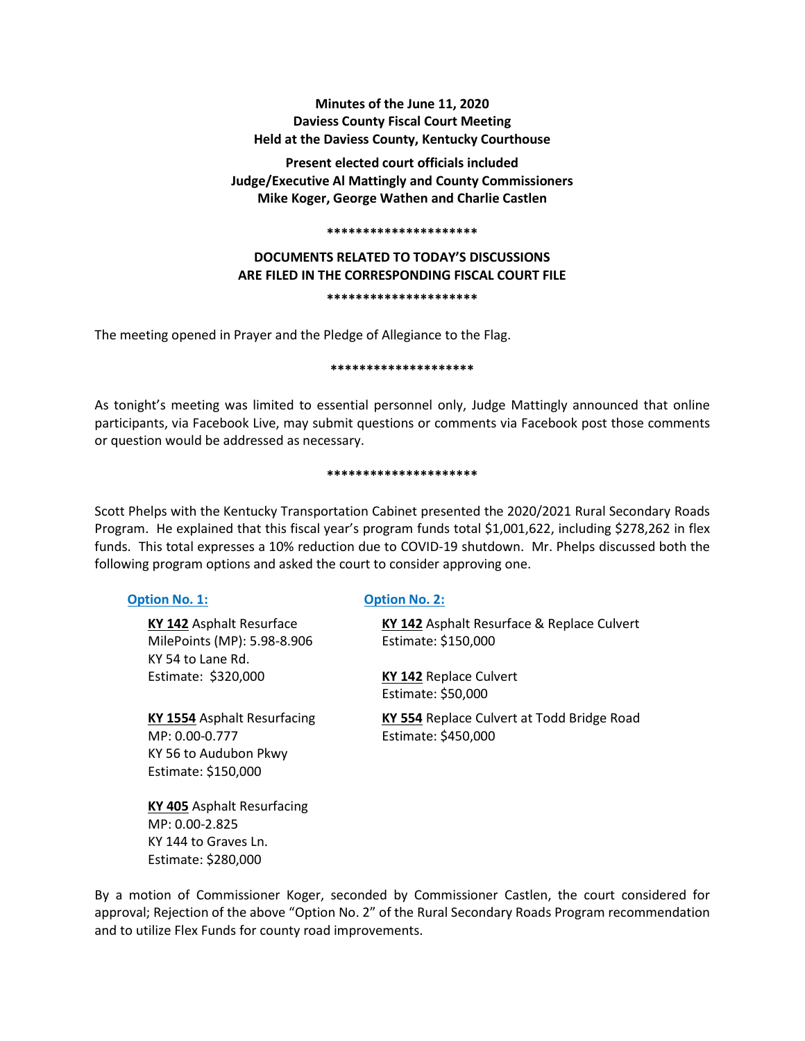# **Minutes of the June 11, 2020 Daviess County Fiscal Court Meeting Held at the Daviess County, Kentucky Courthouse**

**Present elected court officials included Judge/Executive Al Mattingly and County Commissioners Mike Koger, George Wathen and Charlie Castlen**

#### **\*\*\*\*\*\*\*\*\*\*\*\*\*\*\*\*\*\*\*\*\***

# **DOCUMENTS RELATED TO TODAY'S DISCUSSIONS ARE FILED IN THE CORRESPONDING FISCAL COURT FILE**

#### **\*\*\*\*\*\*\*\*\*\*\*\*\*\*\*\*\*\*\*\*\***

The meeting opened in Prayer and the Pledge of Allegiance to the Flag.

#### **\*\*\*\*\*\*\*\*\*\*\*\*\*\*\*\*\*\*\*\***

As tonight's meeting was limited to essential personnel only, Judge Mattingly announced that online participants, via Facebook Live, may submit questions or comments via Facebook post those comments or question would be addressed as necessary.

#### **\*\*\*\*\*\*\*\*\*\*\*\*\*\*\*\*\*\*\*\*\***

Scott Phelps with the Kentucky Transportation Cabinet presented the 2020/2021 Rural Secondary Roads Program. He explained that this fiscal year's program funds total \$1,001,622, including \$278,262 in flex funds. This total expresses a 10% reduction due to COVID-19 shutdown. Mr. Phelps discussed both the following program options and asked the court to consider approving one.

KY 54 to Lane Rd.

KY 56 to Audubon Pkwy Estimate: \$150,000

# **Option No. 1: Option No. 2:**

**KY 142** Asphalt Resurface **KY 142** Asphalt Resurface & Replace Culvert MilePoints (MP): 5.98-8.906 Estimate: \$150,000 Estimate: \$320,000 **KY 142** Replace Culvert Estimate: \$50,000 **KY 1554** Asphalt Resurfacing **KY 554** Replace Culvert at Todd Bridge Road MP: 0.00-0.777 Estimate: \$450,000

**KY 405** Asphalt Resurfacing MP: 0.00-2.825 KY 144 to Graves Ln. Estimate: \$280,000

By a motion of Commissioner Koger, seconded by Commissioner Castlen, the court considered for approval; Rejection of the above "Option No. 2" of the Rural Secondary Roads Program recommendation and to utilize Flex Funds for county road improvements.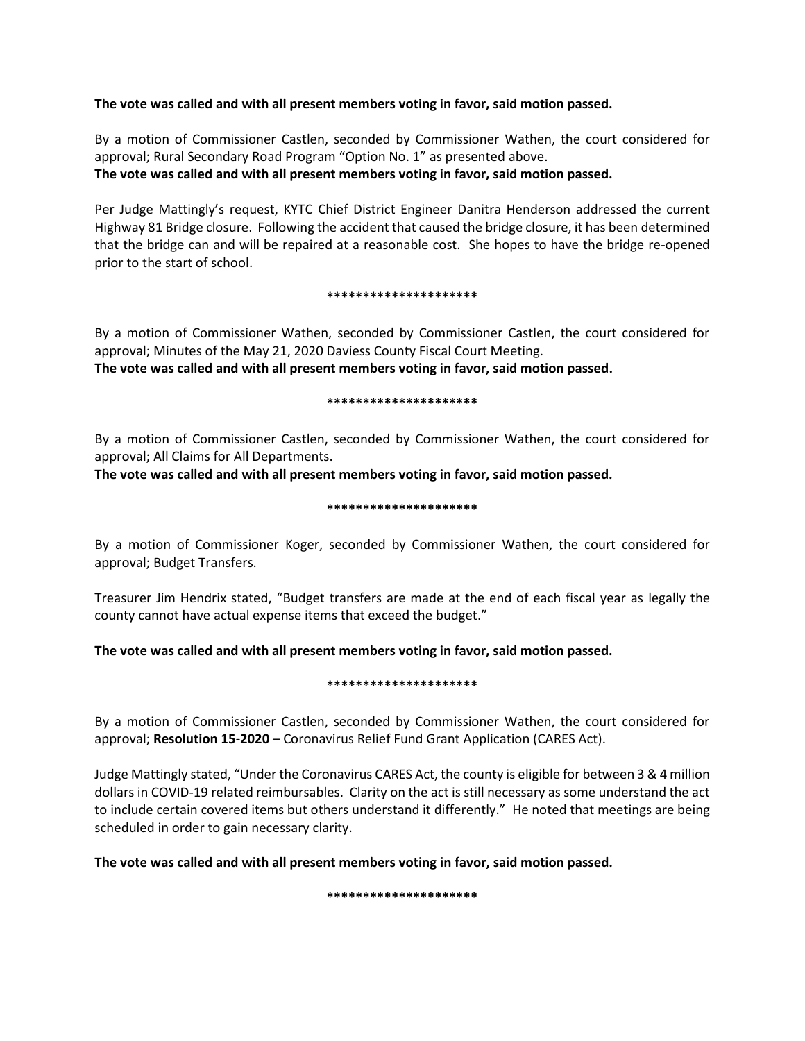# **The vote was called and with all present members voting in favor, said motion passed.**

By a motion of Commissioner Castlen, seconded by Commissioner Wathen, the court considered for approval; Rural Secondary Road Program "Option No. 1" as presented above. **The vote was called and with all present members voting in favor, said motion passed.** 

Per Judge Mattingly's request, KYTC Chief District Engineer Danitra Henderson addressed the current Highway 81 Bridge closure. Following the accident that caused the bridge closure, it has been determined that the bridge can and will be repaired at a reasonable cost. She hopes to have the bridge re-opened prior to the start of school.

#### **\*\*\*\*\*\*\*\*\*\*\*\*\*\*\*\*\*\*\*\*\***

By a motion of Commissioner Wathen, seconded by Commissioner Castlen, the court considered for approval; Minutes of the May 21, 2020 Daviess County Fiscal Court Meeting. **The vote was called and with all present members voting in favor, said motion passed.** 

#### **\*\*\*\*\*\*\*\*\*\*\*\*\*\*\*\*\*\*\*\*\***

By a motion of Commissioner Castlen, seconded by Commissioner Wathen, the court considered for approval; All Claims for All Departments.

**The vote was called and with all present members voting in favor, said motion passed.** 

#### **\*\*\*\*\*\*\*\*\*\*\*\*\*\*\*\*\*\*\*\*\***

By a motion of Commissioner Koger, seconded by Commissioner Wathen, the court considered for approval; Budget Transfers.

Treasurer Jim Hendrix stated, "Budget transfers are made at the end of each fiscal year as legally the county cannot have actual expense items that exceed the budget."

#### **The vote was called and with all present members voting in favor, said motion passed.**

#### **\*\*\*\*\*\*\*\*\*\*\*\*\*\*\*\*\*\*\*\*\***

By a motion of Commissioner Castlen, seconded by Commissioner Wathen, the court considered for approval; **Resolution 15-2020** – Coronavirus Relief Fund Grant Application (CARES Act).

Judge Mattingly stated, "Under the Coronavirus CARES Act, the county is eligible for between 3 & 4 million dollars in COVID-19 related reimbursables. Clarity on the act is still necessary as some understand the act to include certain covered items but others understand it differently." He noted that meetings are being scheduled in order to gain necessary clarity.

**The vote was called and with all present members voting in favor, said motion passed.** 

**\*\*\*\*\*\*\*\*\*\*\*\*\*\*\*\*\*\*\*\*\***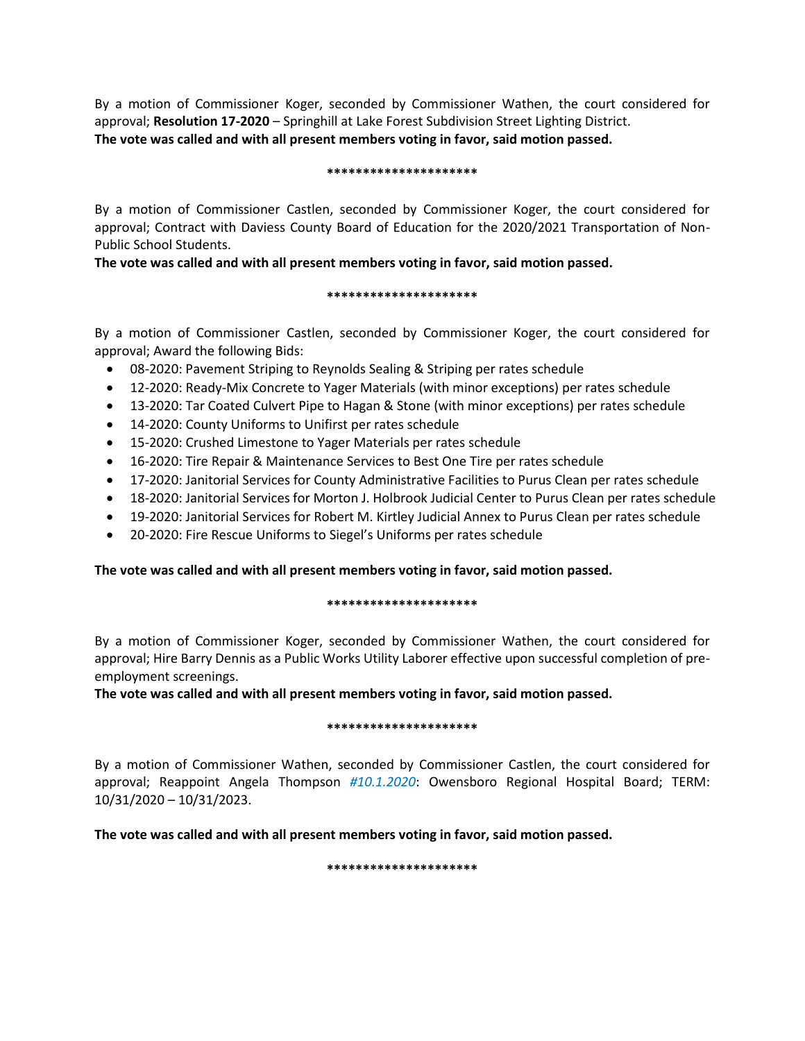By a motion of Commissioner Koger, seconded by Commissioner Wathen, the court considered for approval; **Resolution 17-2020** – Springhill at Lake Forest Subdivision Street Lighting District. **The vote was called and with all present members voting in favor, said motion passed.** 

#### **\*\*\*\*\*\*\*\*\*\*\*\*\*\*\*\*\*\*\*\*\***

By a motion of Commissioner Castlen, seconded by Commissioner Koger, the court considered for approval; Contract with Daviess County Board of Education for the 2020/2021 Transportation of Non-Public School Students.

**The vote was called and with all present members voting in favor, said motion passed.** 

#### **\*\*\*\*\*\*\*\*\*\*\*\*\*\*\*\*\*\*\*\*\***

By a motion of Commissioner Castlen, seconded by Commissioner Koger, the court considered for approval; Award the following Bids:

- 08-2020: Pavement Striping to Reynolds Sealing & Striping per rates schedule
- 12-2020: Ready-Mix Concrete to Yager Materials (with minor exceptions) per rates schedule
- 13-2020: Tar Coated Culvert Pipe to Hagan & Stone (with minor exceptions) per rates schedule
- 14-2020: County Uniforms to Unifirst per rates schedule
- 15-2020: Crushed Limestone to Yager Materials per rates schedule
- 16-2020: Tire Repair & Maintenance Services to Best One Tire per rates schedule
- 17-2020: Janitorial Services for County Administrative Facilities to Purus Clean per rates schedule
- 18-2020: Janitorial Services for Morton J. Holbrook Judicial Center to Purus Clean per rates schedule
- 19-2020: Janitorial Services for Robert M. Kirtley Judicial Annex to Purus Clean per rates schedule
- 20-2020: Fire Rescue Uniforms to Siegel's Uniforms per rates schedule

# **The vote was called and with all present members voting in favor, said motion passed.**

#### **\*\*\*\*\*\*\*\*\*\*\*\*\*\*\*\*\*\*\*\*\***

By a motion of Commissioner Koger, seconded by Commissioner Wathen, the court considered for approval; Hire Barry Dennis as a Public Works Utility Laborer effective upon successful completion of preemployment screenings.

**The vote was called and with all present members voting in favor, said motion passed.** 

#### **\*\*\*\*\*\*\*\*\*\*\*\*\*\*\*\*\*\*\*\*\***

By a motion of Commissioner Wathen, seconded by Commissioner Castlen, the court considered for approval; Reappoint Angela Thompson *#10.1.2020*: Owensboro Regional Hospital Board; TERM: 10/31/2020 – 10/31/2023.

**The vote was called and with all present members voting in favor, said motion passed.** 

**\*\*\*\*\*\*\*\*\*\*\*\*\*\*\*\*\*\*\*\*\***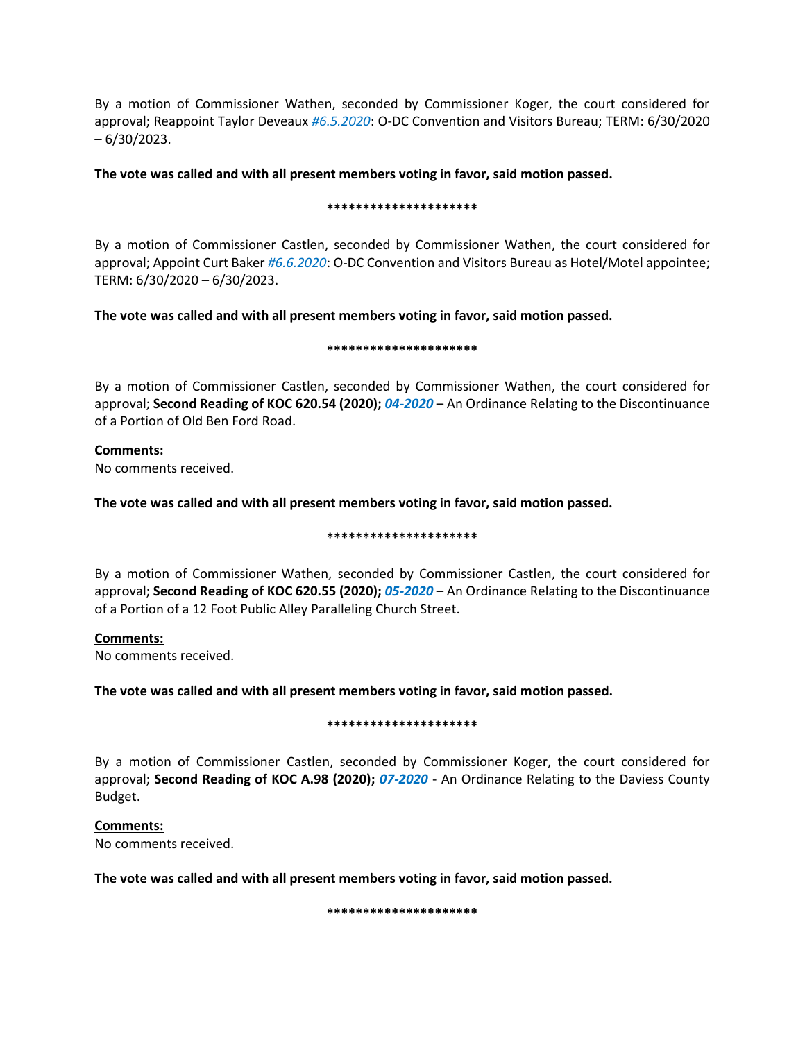By a motion of Commissioner Wathen, seconded by Commissioner Koger, the court considered for approval; Reappoint Taylor Deveaux *#6.5.2020*: O-DC Convention and Visitors Bureau; TERM: 6/30/2020 – 6/30/2023.

# **The vote was called and with all present members voting in favor, said motion passed.**

#### **\*\*\*\*\*\*\*\*\*\*\*\*\*\*\*\*\*\*\*\*\***

By a motion of Commissioner Castlen, seconded by Commissioner Wathen, the court considered for approval; Appoint Curt Baker *#6.6.2020*: O-DC Convention and Visitors Bureau as Hotel/Motel appointee; TERM: 6/30/2020 – 6/30/2023.

# **The vote was called and with all present members voting in favor, said motion passed.**

#### **\*\*\*\*\*\*\*\*\*\*\*\*\*\*\*\*\*\*\*\*\***

By a motion of Commissioner Castlen, seconded by Commissioner Wathen, the court considered for approval; **Second Reading of KOC 620.54 (2020);** *04-2020* – An Ordinance Relating to the Discontinuance of a Portion of Old Ben Ford Road.

# **Comments:**

No comments received.

# **The vote was called and with all present members voting in favor, said motion passed.**

**\*\*\*\*\*\*\*\*\*\*\*\*\*\*\*\*\*\*\*\*\***

By a motion of Commissioner Wathen, seconded by Commissioner Castlen, the court considered for approval; **Second Reading of KOC 620.55 (2020);** *05-2020* – An Ordinance Relating to the Discontinuance of a Portion of a 12 Foot Public Alley Paralleling Church Street.

**Comments:** No comments received.

#### **The vote was called and with all present members voting in favor, said motion passed.**

#### **\*\*\*\*\*\*\*\*\*\*\*\*\*\*\*\*\*\*\*\*\***

By a motion of Commissioner Castlen, seconded by Commissioner Koger, the court considered for approval; **Second Reading of KOC A.98 (2020);** *07-2020* - An Ordinance Relating to the Daviess County Budget.

**Comments:** No comments received.

**The vote was called and with all present members voting in favor, said motion passed.** 

**\*\*\*\*\*\*\*\*\*\*\*\*\*\*\*\*\*\*\*\*\***